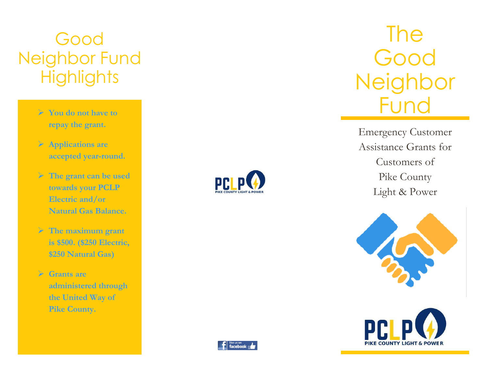# Good Neighbor Fund **Highlights**

- ➢ **You do not have to repay the grant .**
- ➢ **Application s are accepted year -round .**
- ➢ **The grant can be used towards your PCLP Electric and/or Natural Gas Balance .**
- ➢ **The maximum grant is \$500 . (\$250 Electric, \$250 Natural Gas)**
- ➢ **Grants are administered through the United Way of Pike County .**



# The Good **Neighbor** Fund

Emergency Customer Assistance Grants for Customers of Pike County Light & Power